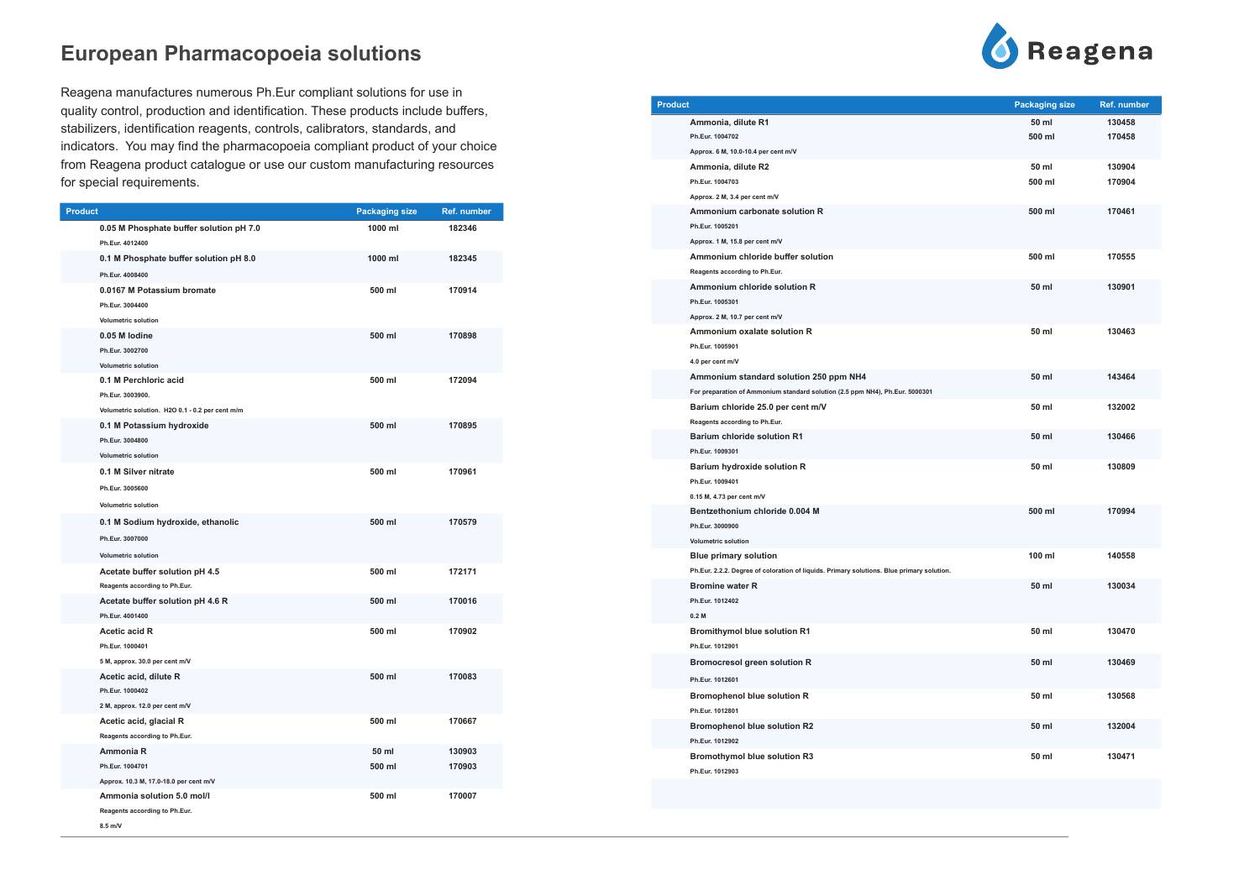| <b>Product</b>                                                                               | <b>Packaging size</b> | Ref. number      |
|----------------------------------------------------------------------------------------------|-----------------------|------------------|
| 0.05 M Phosphate buffer solution pH 7.0<br>Ph.Eur. 4012400                                   | 1000 ml               | 182346           |
| 0.1 M Phosphate buffer solution pH 8.0<br>Ph.Eur. 4008400                                    | 1000 ml               | 182345           |
| 0.0167 M Potassium bromate<br>Ph.Eur. 3004400<br><b>Volumetric solution</b>                  | 500 ml                | 170914           |
| 0.05 M lodine<br>Ph.Eur. 3002700<br><b>Volumetric solution</b>                               | 500 ml                | 170898           |
| 0.1 M Perchloric acid<br>Ph.Eur. 3003900.<br>Volumetric solution. H2O 0.1 - 0.2 per cent m/m | 500 ml                | 172094           |
| 0.1 M Potassium hydroxide<br>Ph.Eur. 3004800<br><b>Volumetric solution</b>                   | 500 ml                | 170895           |
| 0.1 M Silver nitrate<br>Ph.Eur. 3005600<br><b>Volumetric solution</b>                        | 500 ml                | 170961           |
| 0.1 M Sodium hydroxide, ethanolic<br>Ph.Eur. 3007000<br><b>Volumetric solution</b>           | 500 ml                | 170579           |
| Acetate buffer solution pH 4.5<br>Reagents according to Ph.Eur.                              | 500 ml                | 172171           |
| Acetate buffer solution pH 4.6 R<br>Ph.Eur. 4001400                                          | 500 ml                | 170016           |
| <b>Acetic acid R</b><br>Ph.Eur. 1000401<br>5 M, approx. 30.0 per cent m/V                    | 500 ml                | 170902           |
| Acetic acid, dilute R<br>Ph.Eur. 1000402<br>2 M, approx. 12.0 per cent m/V                   | 500 ml                | 170083           |
| Acetic acid, glacial R<br>Reagents according to Ph.Eur.                                      | 500 ml                | 170667           |
| Ammonia R<br>Ph.Eur. 1004701<br>Approx. 10.3 M, 17.0-18.0 per cent m/V                       | 50 ml<br>500 ml       | 130903<br>170903 |
| Ammonia solution 5.0 mol/l<br>Reagents according to Ph.Eur.<br>8.5 m/V                       | 500 ml                | 170007           |

Reagena manufactures numerous Ph.Eur compliant solutions for use in quality control, production and identification. These products include buffers, stabilizers, identification reagents, controls, calibrators, standards, and indicators. You may find the pharmacopoeia compliant product of your choice from Reagena product catalogue or use our custom manufacturing resources for special requirements.

#### **Product Packaging size Ref. number Ammonia, dilute R1 50 ml 130458 Ph.Eur. 1004702 500 ml 170458 Approx. 6 M, 10.0-10.4 per cent m/V Ammonia, dilute R2 Ph.Eur. 1004703 500 ml 170904 Approx. 2 M, 3.4 per cent m/V Ammonium carbonate solution R Ph.Eur. 1005201 Approx. 1 M, 15.8 per cent m/V Ammonium chloride buffer solution Reagents according to Ph.Eur. Ammonium chloride solution R Ph.Eur. 1005301 Approx. 2 M, 10.7 per cent m/V Ammonium oxalate solution R Ph.Eur. 1005901 4.0 per cent m/V Ammonium standard solution 250 ppm NH4 For preparation of Ammonium standard solution (2.5 ppm NH4), Ph.Eur. 5000301 Barium chloride 25.0 per cent m/V Reagents according to Ph.Eur. Barium chloride solution R1 Ph.Eur. 1009301 Barium hydroxide solution R Ph.Eur. 1009401 0.15 M, 4.73 per cent m/V Bentzethonium chloride 0.004 M Ph.Eur. 3000900 Volumetric solution Blue primary solution Ph.Eur. 2.2.2. Degree of coloration of liquids. Primary solutions. Blue primary solution. Bromine water R Ph.Eur. 1012402 0.2 M Bromithymol blue solution R1 Ph.Eur. 1012901 Bromocresol green solution R Ph.Eur. 1012601 Bromophenol blue solution R Ph.Eur. 1012801 Bromophenol blue solution R2 Ph.Eur. 1012902 Bromothymol blue solution R3 Ph.Eur. 1012903**



| <b>Packaging size</b> | Ref. number |
|-----------------------|-------------|
| 50 ml                 | 130458      |
| 500 ml                | 170458      |
| 50 ml                 | 130904      |
| 500 ml                | 170904      |
| 500 ml                | 170461      |
| 500 ml                | 170555      |
| 50 ml                 | 130901      |
| 50 ml                 | 130463      |
| 50 ml                 | 143464      |
| 50 ml                 | 132002      |
| 50 ml                 | 130466      |
| 50 ml                 | 130809      |
| 500 ml                | 170994      |
| 100 ml                | 140558      |
| 50 ml                 | 130034      |
| 50 ml                 | 130470      |
| 50 ml                 | 130469      |
| 50 ml                 | 130568      |
| 50 ml                 | 132004      |
| 50 ml                 | 130471      |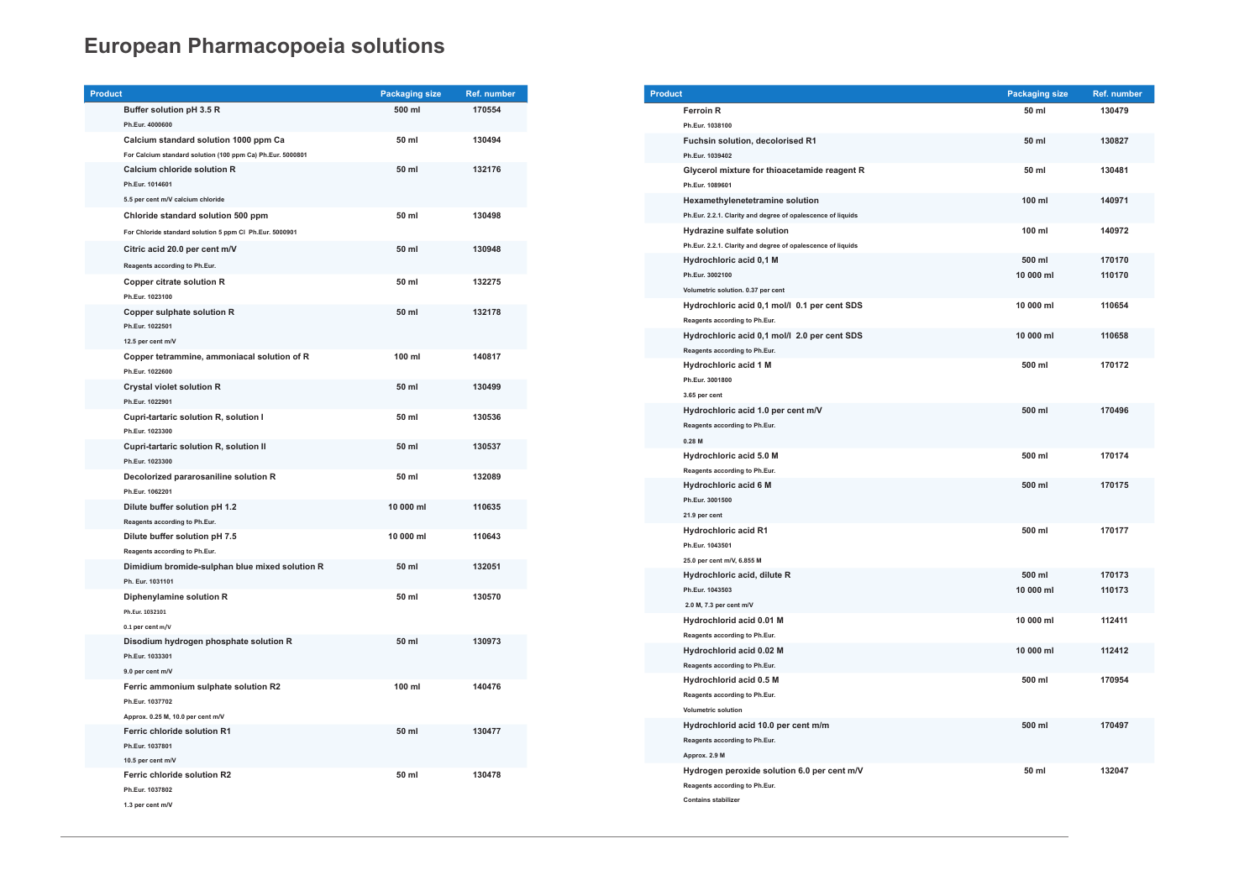| <b>Product</b>                                                          |                                                            | <b>Packaging size</b> | Ref. number |
|-------------------------------------------------------------------------|------------------------------------------------------------|-----------------------|-------------|
| Buffer solution pH 3.5 R                                                |                                                            | 500 ml                | 170554      |
| Ph.Eur. 4000600                                                         |                                                            |                       |             |
|                                                                         | Calcium standard solution 1000 ppm Ca                      | 50 ml                 | 130494      |
|                                                                         | For Calcium standard solution (100 ppm Ca) Ph.Eur. 5000801 |                       |             |
| Calcium chloride solution R                                             |                                                            | 50 ml                 | 132176      |
| Ph.Eur. 1014601                                                         |                                                            |                       |             |
| 5.5 per cent m/V calcium chloride                                       |                                                            |                       |             |
|                                                                         | Chloride standard solution 500 ppm                         | 50 ml                 | 130498      |
|                                                                         | For Chloride standard solution 5 ppm Cl Ph.Eur. 5000901    |                       |             |
| Citric acid 20.0 per cent m/V                                           |                                                            | 50 ml                 | 130948      |
| Reagents according to Ph.Eur.                                           |                                                            |                       |             |
| <b>Copper citrate solution R</b>                                        |                                                            | 50 ml                 | 132275      |
| Ph.Eur. 1023100                                                         |                                                            |                       |             |
| <b>Copper sulphate solution R</b>                                       |                                                            | 50 ml                 | 132178      |
| Ph.Eur. 1022501                                                         |                                                            |                       |             |
| 12.5 per cent m/V                                                       |                                                            |                       |             |
|                                                                         | Copper tetrammine, ammoniacal solution of R                | $100$ ml              | 140817      |
| Ph.Eur. 1022600                                                         |                                                            |                       |             |
| <b>Crystal violet solution R</b>                                        |                                                            | 50 ml                 | 130499      |
| Ph.Eur. 1022901                                                         |                                                            |                       |             |
|                                                                         | Cupri-tartaric solution R, solution I                      | 50 ml                 | 130536      |
| Ph.Eur. 1023300                                                         |                                                            |                       |             |
|                                                                         | Cupri-tartaric solution R, solution II                     | 50 ml                 | 130537      |
| Ph.Eur. 1023300                                                         |                                                            |                       |             |
|                                                                         | Decolorized pararosaniline solution R                      | 50 ml                 | 132089      |
| Ph.Eur. 1062201                                                         |                                                            |                       |             |
| Dilute buffer solution pH 1.2                                           |                                                            | 10 000 ml             | 110635      |
| Reagents according to Ph.Eur.                                           |                                                            |                       |             |
| Dilute buffer solution pH 7.5                                           |                                                            | 10 000 ml             | 110643      |
| Reagents according to Ph.Eur.                                           |                                                            |                       |             |
|                                                                         | Dimidium bromide-sulphan blue mixed solution R             | 50 ml                 | 132051      |
| Ph. Eur. 1031101                                                        |                                                            |                       |             |
| Diphenylamine solution R                                                |                                                            | 50 ml                 | 130570      |
| Ph.Eur. 1032101                                                         |                                                            |                       |             |
| 0.1 per cent m/V                                                        |                                                            |                       |             |
|                                                                         | Disodium hydrogen phosphate solution R                     | 50 ml                 | 130973      |
| Ph.Eur. 1033301                                                         |                                                            |                       |             |
| 9.0 per cent m/V                                                        |                                                            | $100$ ml              |             |
|                                                                         | Ferric ammonium sulphate solution R2                       |                       | 140476      |
| Ph.Eur. 1037702                                                         |                                                            |                       |             |
| Approx. 0.25 M, 10.0 per cent m/V<br><b>Ferric chloride solution R1</b> |                                                            | 50 ml                 | 130477      |
| Ph.Eur. 1037801                                                         |                                                            |                       |             |
| 10.5 per cent m/V                                                       |                                                            |                       |             |
| Ferric chloride solution R2                                             |                                                            | 50 ml                 | 130478      |
| Ph.Eur. 1037802                                                         |                                                            |                       |             |
| 1.3 per cent m/V                                                        |                                                            |                       |             |
|                                                                         |                                                            |                       |             |

| <b>Product</b>                                              | <b>Packaging size</b> | <b>Ref. number</b> |
|-------------------------------------------------------------|-----------------------|--------------------|
| <b>Ferroin R</b>                                            | 50 ml                 | 130479             |
| Ph.Eur. 1038100                                             |                       |                    |
| Fuchsin solution, decolorised R1                            | 50 ml                 | 130827             |
| Ph.Eur. 1039402                                             |                       |                    |
| Glycerol mixture for thioacetamide reagent R                | 50 ml                 | 130481             |
| Ph.Eur. 1089601                                             |                       |                    |
| Hexamethylenetetramine solution                             | 100 ml                | 140971             |
| Ph.Eur. 2.2.1. Clarity and degree of opalescence of liquids |                       |                    |
| Hydrazine sulfate solution                                  | 100 ml                | 140972             |
| Ph.Eur. 2.2.1. Clarity and degree of opalescence of liquids |                       |                    |
| Hydrochloric acid 0,1 M                                     | 500 ml                | 170170             |
| Ph.Eur. 3002100                                             | 10 000 ml             | 110170             |
| Volumetric solution. 0.37 per cent                          |                       |                    |
| Hydrochloric acid 0,1 mol/l 0.1 per cent SDS                | 10 000 ml             | 110654             |
| Reagents according to Ph.Eur.                               |                       |                    |
| Hydrochloric acid 0,1 mol/l 2.0 per cent SDS                | 10 000 ml             | 110658             |
| Reagents according to Ph.Eur.                               |                       |                    |
| <b>Hydrochloric acid 1 M</b>                                | 500 ml                | 170172             |
| Ph.Eur. 3001800                                             |                       |                    |
| 3.65 per cent                                               |                       |                    |
| Hydrochloric acid 1.0 per cent m/V                          | 500 ml                | 170496             |
| Reagents according to Ph.Eur.                               |                       |                    |
| $0.28$ M                                                    |                       |                    |
| Hydrochloric acid 5.0 M                                     | 500 ml                | 170174             |
| Reagents according to Ph.Eur.                               |                       |                    |
| <b>Hydrochloric acid 6 M</b>                                | 500 ml                | 170175             |
| Ph.Eur. 3001500                                             |                       |                    |
| 21.9 per cent                                               |                       |                    |
| <b>Hydrochloric acid R1</b>                                 | 500 ml                | 170177             |
| Ph.Eur. 1043501                                             |                       |                    |
| 25.0 per cent m/V, 6.855 M                                  |                       |                    |
| Hydrochloric acid, dilute R                                 | 500 ml                | 170173             |
| Ph.Eur. 1043503                                             | 10 000 ml             | 110173             |
| 2.0 M, 7.3 per cent m/V                                     |                       |                    |
| Hydrochlorid acid 0.01 M                                    | 10 000 ml             | 112411             |
| Reagents according to Ph.Eur.                               |                       |                    |
| Hydrochlorid acid 0.02 M                                    | 10 000 ml             | 112412             |
| Reagents according to Ph.Eur.                               |                       |                    |
| Hydrochlorid acid 0.5 M                                     | 500 ml                | 170954             |
| Reagents according to Ph.Eur.                               |                       |                    |
| <b>Volumetric solution</b>                                  |                       |                    |
| Hydrochlorid acid 10.0 per cent m/m                         | 500 ml                | 170497             |
| Reagents according to Ph.Eur.                               |                       |                    |
| Approx. 2.9 M                                               |                       |                    |
| Hydrogen peroxide solution 6.0 per cent m/V                 | 50 ml                 | 132047             |
| Reagents according to Ph.Eur.                               |                       |                    |
| <b>Contains stabilizer</b>                                  |                       |                    |

| <b>Packaging size</b> | Ref. number |
|-----------------------|-------------|
| 50 ml                 | 130479      |
| 50 ml                 | 130827      |
| 50 ml                 | 130481      |
| 100 ml                | 140971      |
| 100 ml                | 140972      |
| 500 ml                | 170170      |
| 10 000 ml             | 110170      |
| 10 000 ml             | 110654      |
| 10 000 ml             | 110658      |
| 500 ml                | 170172      |
| 500 ml                | 170496      |
| 500 ml                | 170174      |
| 500 ml                | 170175      |
| 500 ml                | 170177      |
| 500 ml                | 170173      |
| 10 000 ml             | 110173      |
| 10 000 ml             | 112411      |
| 10 000 ml             | 112412      |
| 500 ml                | 170954      |
| 500 ml                | 170497      |
| 50 ml                 | 132047      |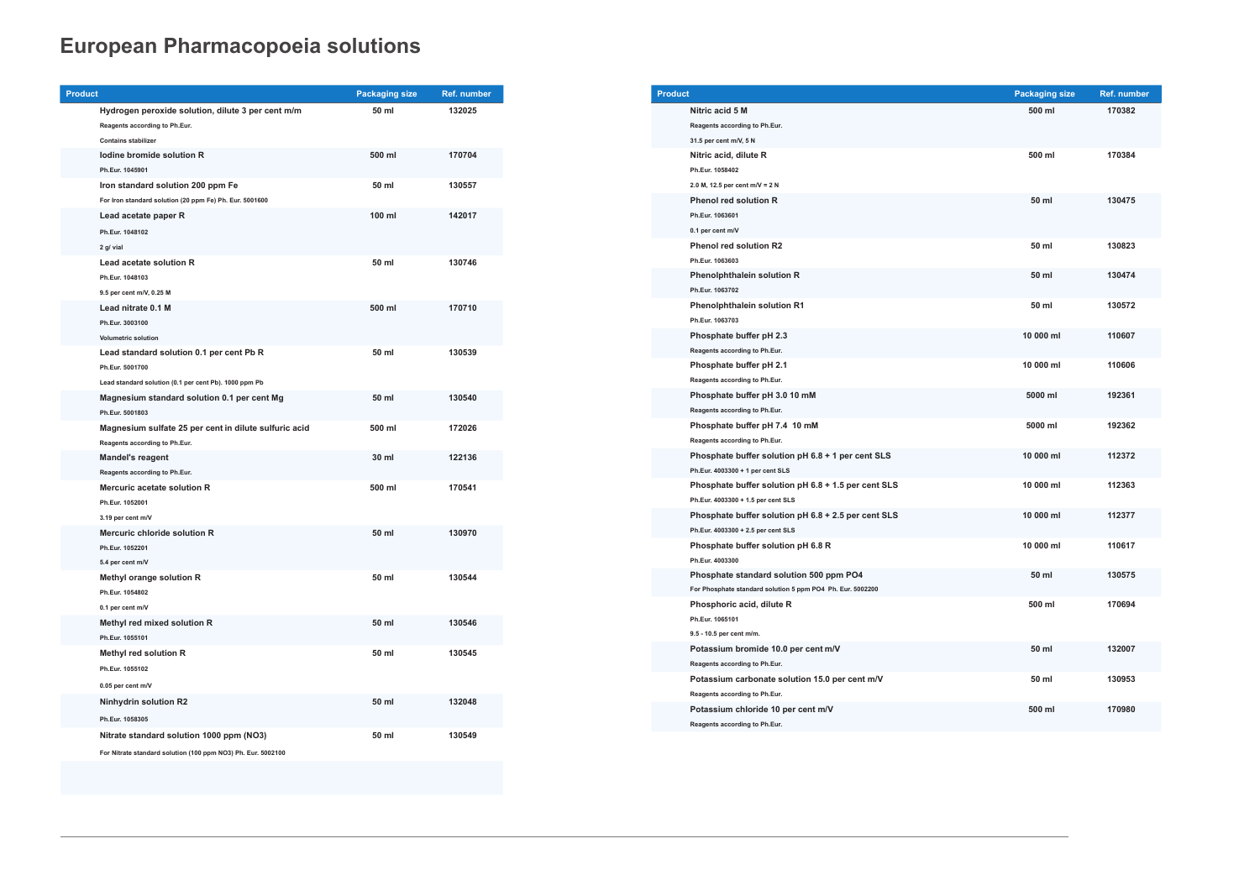| <b>Product</b> |                                                                                                                      | <b>Packaging size</b> | Ref. number |
|----------------|----------------------------------------------------------------------------------------------------------------------|-----------------------|-------------|
|                | Hydrogen peroxide solution, dilute 3 per cent m/m<br>Reagents according to Ph.Eur.<br><b>Contains stabilizer</b>     | 50 ml                 | 132025      |
|                | lodine bromide solution R<br>Ph.Eur. 1045901                                                                         | 500 ml                | 170704      |
|                | Iron standard solution 200 ppm Fe<br>For Iron standard solution (20 ppm Fe) Ph. Eur. 5001600                         | 50 ml                 | 130557      |
|                | Lead acetate paper R<br>Ph.Eur. 1048102<br>2 g/ vial                                                                 | 100 ml                | 142017      |
|                | Lead acetate solution R<br>Ph.Eur. 1048103<br>9.5 per cent m/V, 0.25 M                                               | 50 ml                 | 130746      |
|                | Lead nitrate 0.1 M<br>Ph.Eur. 3003100<br><b>Volumetric solution</b>                                                  | 500 ml                | 170710      |
|                | Lead standard solution 0.1 per cent Pb R<br>Ph.Eur. 5001700<br>Lead standard solution (0.1 per cent Pb). 1000 ppm Pb | 50 ml                 | 130539      |
|                | Magnesium standard solution 0.1 per cent Mg<br>Ph.Eur. 5001803                                                       | 50 ml                 | 130540      |
|                | Magnesium sulfate 25 per cent in dilute sulfuric acid<br>Reagents according to Ph.Eur.                               | 500 ml                | 172026      |
|                | <b>Mandel's reagent</b><br>Reagents according to Ph.Eur.                                                             | 30 ml                 | 122136      |
|                | Mercuric acetate solution R<br>Ph.Eur. 1052001<br>3.19 per cent m/V                                                  | 500 ml                | 170541      |
|                | Mercuric chloride solution R<br>Ph.Eur. 1052201<br>5.4 per cent m/V                                                  | 50 ml                 | 130970      |
|                | Methyl orange solution R<br>Ph.Eur. 1054802<br>0.1 per cent m/V                                                      | 50 ml                 | 130544      |
|                | Methyl red mixed solution R<br>Ph.Eur. 1055101                                                                       | 50 ml                 | 130546      |
|                | Methyl red solution R<br>Ph.Eur. 1055102<br>0.05 per cent m/V                                                        | 50 ml                 | 130545      |
|                | Ninhydrin solution R2<br>Ph.Eur. 1058305                                                                             | 50 ml                 | 132048      |
|                | Nitrate standard solution 1000 ppm (NO3)<br>For Nitrate standard solution (100 ppm NO3) Ph. Eur. 5002100             | 50 ml                 | 130549      |

| <b>Product</b> |                                                            | <b>Packaging size</b> | Ref. number |
|----------------|------------------------------------------------------------|-----------------------|-------------|
|                | Nitric acid 5 M                                            | 500 ml                | 170382      |
|                | Reagents according to Ph.Eur.                              |                       |             |
|                | 31.5 per cent m/V, 5 N                                     |                       |             |
|                | Nitric acid, dilute R                                      | 500 ml                | 170384      |
|                | Ph.Eur. 1058402                                            |                       |             |
|                | 2.0 M, 12.5 per cent m/V = 2 N                             |                       |             |
|                | <b>Phenol red solution R</b>                               | 50 ml                 | 130475      |
|                | Ph.Eur. 1063601                                            |                       |             |
|                | 0.1 per cent m/V                                           |                       |             |
|                | <b>Phenol red solution R2</b>                              | 50 ml                 | 130823      |
|                | Ph.Eur. 1063603                                            |                       |             |
|                | <b>Phenolphthalein solution R</b>                          | 50 ml                 | 130474      |
|                | Ph.Eur. 1063702                                            |                       |             |
|                | <b>Phenolphthalein solution R1</b>                         | 50 ml                 | 130572      |
|                | Ph.Eur. 1063703                                            |                       |             |
|                | Phosphate buffer pH 2.3                                    | 10 000 ml             | 110607      |
|                | Reagents according to Ph.Eur.                              |                       |             |
|                | Phosphate buffer pH 2.1                                    | 10 000 ml             | 110606      |
|                | Reagents according to Ph.Eur.                              |                       |             |
|                | Phosphate buffer pH 3.0 10 mM                              | 5000 ml               | 192361      |
|                | Reagents according to Ph.Eur.                              |                       |             |
|                | Phosphate buffer pH 7.4 10 mM                              | 5000 ml               | 192362      |
|                | Reagents according to Ph.Eur.                              |                       |             |
|                | Phosphate buffer solution pH 6.8 + 1 per cent SLS          | 10 000 ml             | 112372      |
|                | Ph.Eur. 4003300 + 1 per cent SLS                           |                       |             |
|                | Phosphate buffer solution pH 6.8 + 1.5 per cent SLS        | 10 000 ml             | 112363      |
|                | Ph.Eur. 4003300 + 1.5 per cent SLS                         |                       |             |
|                | Phosphate buffer solution pH 6.8 + 2.5 per cent SLS        | 10 000 ml             | 112377      |
|                | Ph.Eur. 4003300 + 2.5 per cent SLS                         |                       |             |
|                | Phosphate buffer solution pH 6.8 R                         | 10 000 ml             | 110617      |
|                | Ph.Eur. 4003300                                            |                       |             |
|                | Phosphate standard solution 500 ppm PO4                    | 50 ml                 | 130575      |
|                | For Phosphate standard solution 5 ppm PO4 Ph. Eur. 5002200 |                       |             |
|                | Phosphoric acid, dilute R                                  | 500 ml                | 170694      |
|                | Ph.Eur. 1065101                                            |                       |             |
|                | 9.5 - 10.5 per cent m/m.                                   |                       |             |
|                | Potassium bromide 10.0 per cent m/V                        | 50 ml                 | 132007      |
|                | Reagents according to Ph.Eur.                              |                       |             |
|                | Potassium carbonate solution 15.0 per cent m/V             | 50 ml                 | 130953      |
|                | Reagents according to Ph.Eur.                              |                       |             |
|                | Potassium chloride 10 per cent m/V                         | 500 ml                | 170980      |
|                | Reagents according to Ph.Eur.                              |                       |             |

| <b>Packaging size</b> | Ref. number |  |
|-----------------------|-------------|--|
| 500 ml                | 170382      |  |
| 500 ml                | 170384      |  |
| 50 ml                 | 130475      |  |
| 50 ml                 | 130823      |  |
| 50 ml                 | 130474      |  |
| 50 ml                 | 130572      |  |
| 10 000 ml             | 110607      |  |
| 10 000 ml             | 110606      |  |
| 5000 ml               | 192361      |  |
| 5000 ml               | 192362      |  |
| 10 000 ml             | 112372      |  |
| 10 000 ml             | 112363      |  |
| 10 000 ml             | 112377      |  |
| 10 000 ml             | 110617      |  |
| 50 ml                 | 130575      |  |
| 500 ml                | 170694      |  |
| 50 ml                 | 132007      |  |
| 50 ml                 | 130953      |  |
| 500 ml                | 170980      |  |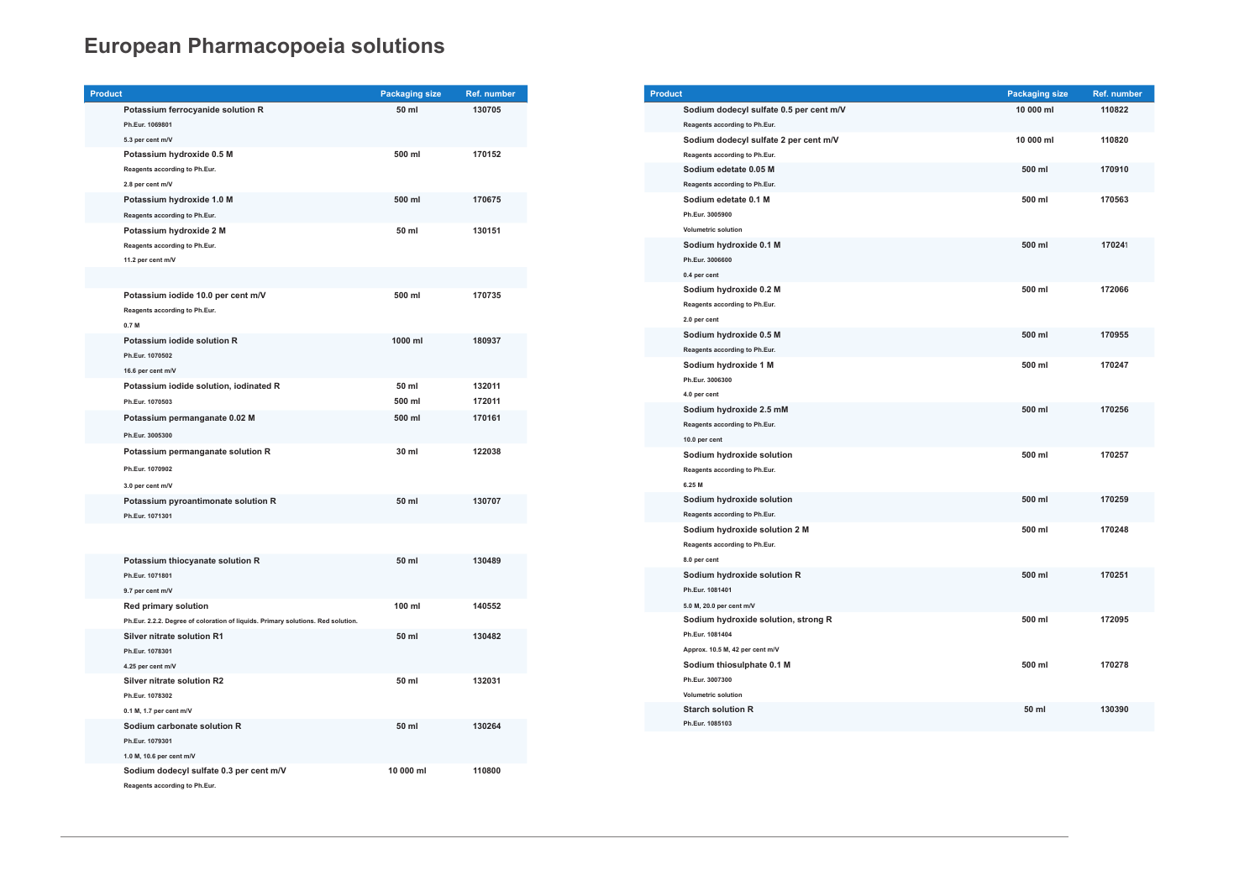| <b>Product</b>                         | <b>Packaging size</b> | <b>Ref. number</b> |
|----------------------------------------|-----------------------|--------------------|
| Potassium ferrocyanide solution R      | 50 ml                 | 130705             |
| Ph.Eur. 1069801                        |                       |                    |
| 5.3 per cent m/V                       |                       |                    |
| Potassium hydroxide 0.5 M              | 500 ml                | 170152             |
| Reagents according to Ph.Eur.          |                       |                    |
| 2.8 per cent m/V                       |                       |                    |
| Potassium hydroxide 1.0 M              | 500 ml                | 170675             |
| Reagents according to Ph.Eur.          |                       |                    |
| Potassium hydroxide 2 M                | 50 ml                 | 130151             |
| Reagents according to Ph.Eur.          |                       |                    |
| 11.2 per cent m/V                      |                       |                    |
|                                        |                       |                    |
| Potassium iodide 10.0 per cent m/V     | 500 ml                | 170735             |
| Reagents according to Ph.Eur.          |                       |                    |
| 0.7 <sub>M</sub>                       |                       |                    |
| Potassium iodide solution R            | 1000 ml               | 180937             |
| Ph.Eur. 1070502                        |                       |                    |
| 16.6 per cent m/V                      |                       |                    |
| Potassium iodide solution, iodinated R | 50 ml                 | 132011             |
| Ph.Eur. 1070503                        | 500 ml                | 172011             |
| Potassium permanganate 0.02 M          | 500 ml                | 170161             |
| Ph.Eur. 3005300                        |                       |                    |
| Potassium permanganate solution R      | 30 ml                 | 122038             |
| Ph.Eur. 1070902                        |                       |                    |
| 3.0 per cent m/V                       |                       |                    |
| Potassium pyroantimonate solution R    | 50 ml                 | 130707             |
| Ph.Eur. 1071301                        |                       |                    |

| Potassium thiocyanate solution R                                                 | 50 ml     | 130489 |
|----------------------------------------------------------------------------------|-----------|--------|
| Ph.Eur. 1071801                                                                  |           |        |
| 9.7 per cent m/V                                                                 |           |        |
| <b>Red primary solution</b>                                                      | $100$ ml  | 140552 |
| Ph.Eur. 2.2.2. Degree of coloration of liquids. Primary solutions. Red solution. |           |        |
| Silver nitrate solution R1                                                       | 50 ml     | 130482 |
| Ph.Eur. 1078301                                                                  |           |        |
| 4.25 per cent m/V                                                                |           |        |
| Silver nitrate solution R2                                                       | 50 ml     | 132031 |
| Ph.Eur. 1078302                                                                  |           |        |
| 0.1 M, 1.7 per cent $m/V$                                                        |           |        |
| Sodium carbonate solution R                                                      | 50 ml     | 130264 |
| Ph.Eur. 1079301                                                                  |           |        |
| 1.0 M, 10.6 per cent m/V                                                         |           |        |
| Sodium dodecyl sulfate 0.3 per cent m/V                                          | 10 000 ml | 110800 |
| Reagents according to Ph.Eur.                                                    |           |        |

| <b>Product</b> |                                         | <b>Packaging size</b> | <b>Ref. number</b> |
|----------------|-----------------------------------------|-----------------------|--------------------|
|                | Sodium dodecyl sulfate 0.5 per cent m/V | 10 000 ml             | 110822             |
|                | Reagents according to Ph.Eur.           |                       |                    |
|                | Sodium dodecyl sulfate 2 per cent m/V   | 10 000 ml             | 110820             |
|                | Reagents according to Ph.Eur.           |                       |                    |
|                | Sodium edetate 0.05 M                   | 500 ml                | 170910             |
|                | Reagents according to Ph.Eur.           |                       |                    |
|                | Sodium edetate 0.1 M                    | 500 ml                | 170563             |
|                | Ph.Eur. 3005900                         |                       |                    |
|                | <b>Volumetric solution</b>              |                       |                    |
|                | Sodium hydroxide 0.1 M                  | 500 ml                | 170241             |
|                | Ph.Eur. 3006600                         |                       |                    |
|                | 0.4 per cent                            |                       |                    |
|                | Sodium hydroxide 0.2 M                  | 500 ml                | 172066             |
|                | Reagents according to Ph.Eur.           |                       |                    |
|                | 2.0 per cent                            |                       |                    |
|                | Sodium hydroxide 0.5 M                  | 500 ml                | 170955             |
|                | Reagents according to Ph.Eur.           |                       |                    |
|                | Sodium hydroxide 1 M                    | 500 ml                | 170247             |
|                | Ph.Eur. 3006300                         |                       |                    |
|                | 4.0 per cent                            |                       |                    |
|                | Sodium hydroxide 2.5 mM                 | 500 ml                | 170256             |
|                | Reagents according to Ph.Eur.           |                       |                    |
|                | 10.0 per cent                           |                       |                    |
|                | Sodium hydroxide solution               | 500 ml                | 170257             |
|                | Reagents according to Ph.Eur.           |                       |                    |
|                | 6.25 M                                  |                       |                    |
|                | Sodium hydroxide solution               | 500 ml                | 170259             |
|                | Reagents according to Ph.Eur.           |                       |                    |
|                | Sodium hydroxide solution 2 M           | 500 ml                | 170248             |
|                | Reagents according to Ph.Eur.           |                       |                    |
|                | 8.0 per cent                            |                       |                    |
|                | Sodium hydroxide solution R             | 500 ml                | 170251             |
|                | Ph.Eur. 1081401                         |                       |                    |
|                | 5.0 M, 20.0 per cent m/V                |                       |                    |
|                | Sodium hydroxide solution, strong R     | 500 ml                | 172095             |
|                | Ph.Eur. 1081404                         |                       |                    |
|                | Approx. 10.5 M, 42 per cent m/V         |                       |                    |
|                | Sodium thiosulphate 0.1 M               | 500 ml                | 170278             |
|                | Ph.Eur. 3007300                         |                       |                    |
|                | <b>Volumetric solution</b>              |                       |                    |
|                | <b>Starch solution R</b>                | 50 ml                 | 130390             |
|                | Ph.Eur. 1085103                         |                       |                    |
|                |                                         |                       |                    |

| <b>Packaging size</b> | Ref. number |
|-----------------------|-------------|
| 10 000 ml             | 110822      |
| 10 000 ml             | 110820      |
| 500 ml                | 170910      |
| 500 ml                | 170563      |
| 500 ml                | 170241      |
| 500 ml                | 172066      |
| 500 ml                | 170955      |
| 500 ml                | 170247      |
| 500 ml                | 170256      |
| 500 ml                | 170257      |
| 500 ml                | 170259      |
| 500 ml                | 170248      |
| 500 ml                | 170251      |
| 500 ml                | 172095      |
| 500 ml                | 170278      |
| 50 ml                 | 130390      |